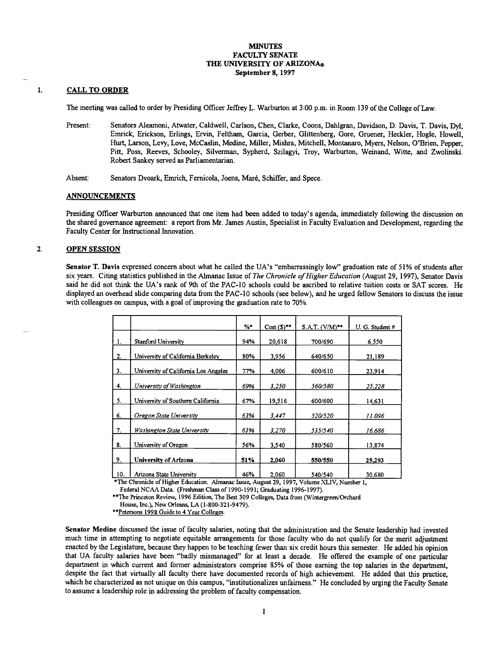### **MINUTES** FACULTY SENATE THE UNIVERSITY OF ARIZONA® September 8, 1997

#### $\mathbf{I}$ . CALL TO ORDER

The meeting was called to order by Presiding Officer Jeffrey L. Warburton at 3:00 p.m. in Room 139 of the College of Law.

- Present: Senators Aleamoni, Atwater, Caldwell, Carlson, Chen, Clarke, Coons, Dahlgran, Davidson, D. Davis, T. Davis, Dyl, Emrick, Erickson, Erlings, Ervin, Feltham, Garcia, Gerber, Glittenberg, Gore, Gruener, Heckler, Hogle, Howell, Hurt, Larson, Levy, Love, McCaslin, Medine, Miller, Mishra, Mitchell, Montanaro, Myers, Nelson, O'Brien, Pepper, Pitt, Poss, Reeves, Schooley, Silverman, Sypherd, Szilagyi, Troy, Warburton, Weinand, Witte, and Zwolinski. Robert Sankey served as Parliamentarian.
- Absent: Senators Dvoark, Emrich, Fernicola, Joens, Maré, Schiffer, and Spece.

#### ANNOUNCEMENTS

Presiding Officer Warburton announced that one item had been added to today's agenda, immediately following the discussion on the shared governance agreement: a report from Mr. James Austin, Specialist in Faculty Evaluation and Development, regarding the Faculty Center for Instructional Innovation.

#### $\overline{2}$ . OPEN SESSION

Senator T. Davis expressed concern about what he called the UA's "embarrassingly low" graduation rate of 51% of students after six years. Citing statistics published in the Almanac Issue of The Chronicle of Higher Education (August 29, 1997), Senator Davis said he did not think the UA's rank of 9th of the PAC-lO schools could be ascribed to relative tuition costs or SAT scores. He displayed an overhead slide comparing data from the PAC-lO schools (see below), and he urged fellow Senators to discuss the issue with colleagues on campus, with a goal of improving the graduation rate to 70%.

|     |                                      | $%$ * | $Cost(5)$ ** | $S.A.T. (VM)**$ | U. G. Student # |
|-----|--------------------------------------|-------|--------------|-----------------|-----------------|
| 1.  | <b>Stanford University</b>           | 94%   | 20,618       | 700/690         | 6,550           |
| 2.  | University of California Berkeley    | 80%   | 3,956        | 640/650         | 21,189          |
| 3.  | University of California Los Angeles | 77%   | 4.006        | 600/610         | 23,914          |
| 4.  | University of Washington             | 69%   | 3.250        | 560/580         | 25,228          |
| 5.  | University of Southern California    | 67%   | 19,516       | 600/600         | 14.631          |
| 6.  | Oregon State University              | 63%   | 3,447        | 520/520         | 11.096          |
| 7.  | Washington State University          | 63%   | 3.270        | 535/540         | 16.686          |
| 8.  | University of Oregon                 | 56%   | 3,540        | 580/560         | 13.874          |
| 9.  | University of Arizona                | 51%   | 2,060        | 550/550         | 25,293          |
| 10. | Arizona State University             | 46%   | 2.060        | 540/540         | 30.680          |

The Chronicle of Higher Education. Almanac Issue, August 29, 1997, Volume XLIV, Number 1,

Federal NCAA Data. (Freshman Class of 1990-1991; Graduating 1996-1997).

\*\*The Princeton Review, 1996 Edition, The Best 309 Colleges, Data from (Wintergreen/Orchard

House, Inc.), New Orleans, LA (1-800-321-9479).<br>\*\*Petersons 1998 Guide to 4 Year Colleges.

Senator Medine discussed the issue of faculty salaries, noting that the administration and the Senate leadership had invested much time in attempting to negotiate equitable arrangements for those faculty who do not qualify for the merit adjustment enacted by the Legislature, because they happen to be teaching fewer than six credit hours this semester. He added his opinion that UA faculty salaries have been "badly mismanaged" for at least a decade. He offered the example of one particular department in which current and former administrators comprise 85% of those earning the top salaries in the department, despite the fact that virtually all faculty there have documented records of high achievement. He added that this practice, which he characterized as not unique on this campus, "institutionalizes unfairness." He concluded by urging the Faculty Senate to assume a leadership role in addressing the problem of faculty compensation.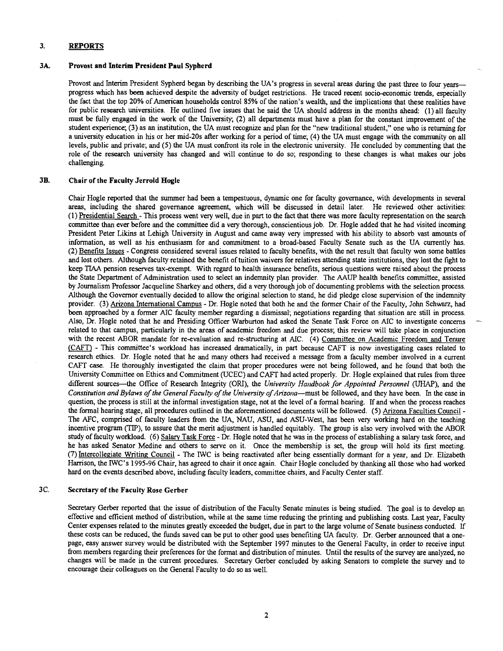# 3. REPORTS

### 3A. Provost and Interim President Paul Sypherd

Provost and Interim President Sypherd began by describing the UA's progress in several areas during the past three to four yearsprogress which has been achieved despite the adversity of budget restrictions. He traced recent socio-economic trends, especially the fact that the top 20% of American households control 85% of the nation's wealth, and the implications that these realities have for public research universities. He outlined five issues that he said the UA should address in the months ahead: (1) all faculty must be fully engaged in the work of the University; (2) all departments must have a plan for the constant improvement of the student experience; (3) as an institution, the UA must recognize and plan for the "new traditional student," one who is returning for a university education in his or her mid-20s after working for a period of time; (4) the UA must engage with the community on all levels, public and private; and (5) the UA must confront its role in the electronic university. He concluded by commenting that the role of the research university has changed and will continue to do so; responding to these changes is what makes our jobs challenging.

### 3B. Chair of the Faculty Jerrold Bogie

Chair Hogle reported that the summer had been a tempestuous, dynamic one for faculty governance, with developments in several areas, including the shared governance agreement, which will be discussed in detail later. He reviewed other activities: Presidential Search - This process went very well, due in part to the fact that there was more faculty representation on the search committee than ever before and the committee did a very thorough, conscientious job. Dr. Hogle added that he had visited incoming President Peter Likins at Lehigh University in August and came away very impressed with his ability to absorb vast amounts of information, as well as his enthusiasm for and commitment to a broad-based Faculty Senate such as the UA currently has. Benefits Issues - Congress considered several issues related to faculty benefits, with the net result that faculty won some battles and lost others. Although faculty retained the benefit of tuition waivers for relatives attending state institutions, they lost the fight to keep TIAA pension reserves tax-exempt. With regard to health insurance benefits, serious questions were raised about the process the State Department of Administration used to select an indemnity plan provider. The AAUP health benefits committee, assisted by Journalism Professor Jacqueline Sharkey and others, did a very thorough job of documenting problems with the selection process. Although the Governor eventually decided to allow the original selection to stand, he did pledge close supervision of the indemnity provider. (3) Arizona International Campus - Dr. Hogle noted that both he and the former Chair of the Faculty, John Schwarz, had been approached by a former MC faculty member regarding a dismissal; negotiations regarding that situation are still in process. Also, Dr. Hogle noted that he and Presiding Officer Warburton had asked the Senate Task Force on AIC to investigate concerns related to that campus, particularly in the areas of academic freedom and due process; this review will take place in conjunction with the recent ABOR mandate for re-evaluation and re-structuring at AIC. (4) Committee on Academic Freedom and Tenure (CAFT) - This committee's workload has increased dramatically, in part because CAFT is now investigating cases related to research ethics. Dr. Hogle noted that he and many others had received a message from a faculty member involved in a current CAFT case. He thoroughly investigated the claim that proper procedures were not being followed, and he found that both the University Committee on Ethics and Commitment (UCEC) and CAFT had acted properly. Dr. Hogle explained that rules from three different sources—the Office of Research Integrity (ORI), the University Handbook for Appointed Personnel (UHAP), and the Constitution and Bylaws of the General Faculty of the University of Arizona—must be followed, and they have been. In the case in question, the process is still at the informal investigation stage, not at the level of a formal hearing. If and when the process reaches the formal hearing stage, all procedures outlined in the aforementioned documents will be followed. (5) Arizona Faculties Council - The AFC, comprised of faculty leaders from the UA, NAU, ASU, and ASU-West, has been very working hard on the teaching incentive program (TIP), to assure that the merit adjustment is handled equitably. The group is also very involved with the ABOR study of faculty workload. (6) Salary Task Force - Dr. Hogle noted that he was in the process of establishing a salaiy task force, and he has asked Senator Medine and others to serve on it. Once the membership is set, the group will hold its first meeting. (7) Intercollegiate Writing Council - The 1WC is being reactivated after being essentially dormant for a year, and Dr. Elizabeth Harrison, the JWC's 1995-96 Chair, has agreed to chair it once again. Chair Hogle concluded by thanking all those who had worked hard on the events described above, including faculty leaders, committee chairs, and Faculty Center staff.

# 3C. Secretary of the Faculty Rose Gerber

Secretary Gerber reported that the issue of distribution of the Faculty Senate minutes is being studied. The goal is to develop an effective and efficient method of distribution, while at the same time reducing the printing and publishing costs. Last year, Faculty Center expenses related to the minutes greatly exceeded the budget, due in part to the large volume of Senate business conducted. If these costs can be reduced, the funds saved can be put to other good uses benefiting UA faculty. Dr. Gerber announced that a onepage, easy answer survey would be distributed with the September 1997 minutes to the General Faculty, in order to receive input from members regarding their preferences for the format and distribution of minutes. Until the results of the survey are analyzed, no changes will be made in the current procedures. Secretary Gerber concluded by asking Senators to complete the survey and to encourage their colleagues on the General Faculty to do so as well.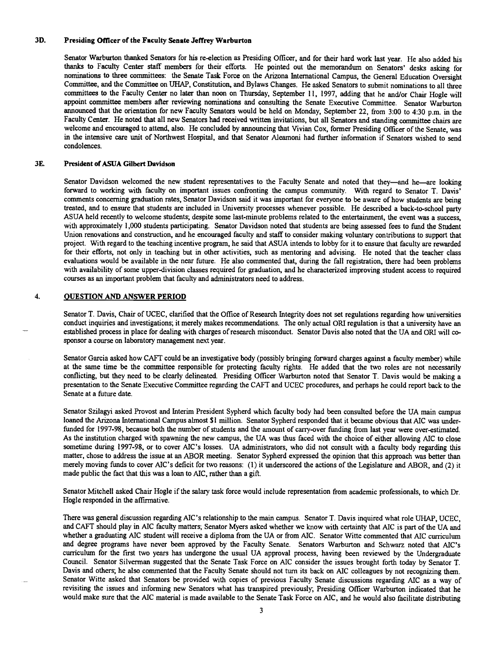# 3D. Presiding Officer of the Faculty Senate Jeffrey Warburton

Senator Warburton thanked Senators for his re-election as Presiding Officer, and for their hard work last year. He also added his thanks to Faculty Center staff members for their efforts. He pointed out the memorandum on Senators' desks asking for<br>nominations to three committees: the Senate Task Force on the Arizona International Campus, the General Committee, and the Committee on UHAP, Constitution, and Bylaws Changes. He asked Senators to submit nominations to all three committees to the Faculty Center no later than noon on Thursday, September 11, 1997, adding that he and/or Chair Hogle will appoint committee members after reviewing nominations and consulting the Senate Executive Committee. Senator Warburton announced that the orientation for new Faculty Senators would be held on Monday, September 22, from 3:00 to 4:30 p.m. in the Faculty Center. He noted that all new Senators had received written invitations, but all Senators welcome and encouraged to attend, also. He concluded by announcing that Vivian Cox, former Presiding Officer of the Senate, was in the intensive care unit of Northwest Hospital, and that Senator Aleamoni had further information if Senators wished to send condolences.

# 3E. President of ASUA Gilbert Davidson

Senator Davidson welcomed the new student representatives to the Faculty Senate and noted that they—and he—are looking forward to working with faculty on important issues confronting the campus community. With regard to Senator T. Davis' comments concerning graduation rates, Senator Davidson said it was important for evetyone to be aware of how students are being treated, and to ensure that students are included in University processes whenever possible. He described a back-to-school party ASUA held recently to welcome students; despite some last-minute problems related to the entertainment, the event was a success, with approximately 1,000 students participating. Senator Davidson noted that students are being assessed fees to fund the Student Union renovations and construction, and he encouraged faculty and staff to consider making voluntary contributions to support that project. With regard to the teaching incentive program, he said that ASUA intends to lobby for it to ensure that faculty are rewarded for their efforts, not only in teaching but in other activities, such as mentoring and advising. He noted that the teacher class evaluations would be available in the near future. He also commented that, during the fall registration, there had been problems with availability of some upper-division classes required for graduation, and he characterized improving student access to required courses as an important problem that faculty and administrators need to address.

# 4. OUESTION AND ANSWER PERIOD

Senator T. Davis, Chair of UCEC, clarified that the Office of Research Integrity does not set regulations regarding how universities conduct inquiries and investigations; it merely makes recommendations. The only actual ORI regulation is that a university have an established process in place for dealing with charges of research misconduct. Senator Davis also noted that the UA and ORI will cosponsor a course on laboratory management next year.

Senator Garcia asked how CAFT could be an investigative body (possibly bringing forward charges against a faculty member) while at the same time be the committee responsible for protecting faculty rights. He added that the two roles are not necessarily conflicting, but they need to be clearly delineated. Presiding Officer Warburton noted that Senator T. Davis would be making a presentation to the Senate Executive Committee regarding the CAFT and UCEC procedures, and perhaps he could report back to the Senate at a future date.

Senator Szilagyi asked Provost and Interim President Sypherd which faculty body had been consulted before the UA main campus loaned the Arizona International Campus almost \$1 million. Senator Sypherd responded that it became obvious that AIC was underfunded for 1997-98, because both the number of students and the amount of carry-over funding from last year were over-estimated. As the institution charged with spawning the new campus, the UA was thus faced with the choice of either allowing AIC to close sometime during 1997-98, or to cover AIC's losses. UA administrators, who did not consult with a faculty body regarding this matter, chose to address the issue at an ABOR meeting. Senator Sypherd expressed the opinion that this approach was better than merely moving funds to cover AIC's deficit for two reasons: (1) it underscored the actions of the Legislature and ABOR, and (2) it made public the fact that this was a loan to AIC, rather than a gift.

Senator Mitchell asked Chair Hogle if the salary task force would include representation from academic professionals, to which Dr. Hogle responded in the affirmative.

There was general discussion regarding AIC's relationship to the main campus. Senator T. Davis inquired what role UHAP, UCEC, and CAFT should play in MC faculty matters; Senator Myers asked whether we know with certainty that AIC is part of the UA and whether a graduating AIC student will receive a diploma from the UA or from AIC. Senator Witte commented that AIC curriculum and degree programs have never been approved by the Faculty Senate. Senators Warburton and Schwarz noted that AIC's curriculum for the first two years has undergone the usual UA approval process, having been reviewed by the Undergraduate Council. Senator Silverman suggested that the Senate Task Force on MC consider the issues brought forth today by Senator T. Davis and others; he also commented that the Faculty Senate should not turn its back on MC colleagues by not recognizing them. Senator Witte asked that Senators be provided with copies of previous Faculty Senate discussions regarding MC as a way of revisiting the issues and informing new Senators what has transpired previously Presiding Officer Warburton indicated that he would make sure that the MC material is made available to the Senate Task Force on MC, and he would also facilitate distributing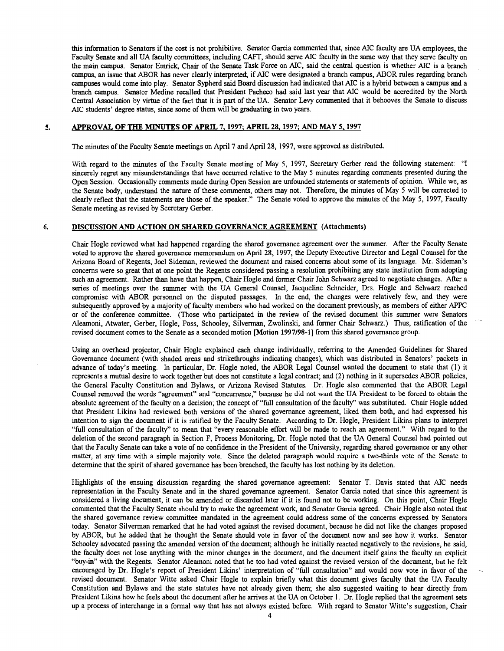this information to Senators if the cost is not prohibitive. Senator Garcia commented that, since MC faculty are UA employees, the Faculty Senate and all UA faculty committees, including CAFT, should serve MC faculty in the same way that they serve faculty on the main campus. Senator Emrick, Chair of the Senate Task Force on AIC, said the central question is whether MC is a branch campus, an issue that ABOR has never clearly interpreted if MC were designated a branch campus, ABOR rules regarding branch campuses would come into play. Senator Sypherd said Board discussion had indicated that MC is a hybrid between a campus and a branch campus. Senator Medine recalled that President Pacheco had said last year that MC would be accredited by the North Central Association by virtue of the fact that it is part of the UA. Senator Levy commented that it behooves the Senate to discuss MC students' degree status, since some of them will be graduating in two years.

#### APPROVAL OF THE MINUTES OF APRIL 7. 1997: APRIL 28, 1997; AND MAY 5, 1997 5.

The minutes of the Faculty Senate meetings on April 7 and April 28, 1997, were approved as distributed.

With regard to the minutes of the Faculty Senate meeting of May 5, 1997, Secretary Gerber read the following statement: "I sincerely regret any misunderstandings that have occurred relative to the May 5 minutes regarding comments presented during the Open Session. Occasionally comments made during Open Session are unfounded statements or statements of opinion. While we, as the Senate body, understand the nature of these comments, others may not. Therefore, the minutes of May 5 will be corrected to clearly reflect that the statements are those of the speaker." The Senate voted to approve the minutes of the May 5, 1997, Faculty Senate meeting as revised by Secretary Gerber.

#### DISCUSSION AND ACTION ON SHARED GOVERNANCE AGREEMENT (Attachments) 6.

Chair Hogle reviewed what had happened regarding the shared governance agreement over the summer. After the Faculty Senate voted to approve the shared governance memorandum on April 28, 1997, the Deputy Executive Director and Legal Counsel for the Arizona Board of Regents, Joel Sideman, reviewed the document and raised concerns about some of its language. Mr. Sideman's concerns were so great that at one point the Regents considered passing a resolution prohibiting any state institution from adopting such an agreement. Rather than have that happen, Chair Hogle and former Chair John Schwarz agreed to negotiate changes. After a series of meetings over the summer with the UA General Counsel, Jacqueline Schneider, Drs. Hogle and Schwarz reached compromise with ABOR personnel on the disputed passages. In the end, the changes were relatively few, and they were subsequently approved by a majority of faculty members who had worked on the document previously, as members of either APPC or of the conference committee. (Those who participated in the review of the revised document this summer were Senators Aleamoni, Atwater, Gerber, Hogle, Poss, Schooley, Silverman, Zwolinski, and former Chair Schwarz.) Thus, ratification of the revised document comes to the Senate as a seconded motion [Motion 1997/98-11 from this shared governance group.

Using an overhead projector, Chair Hogle explained each change individually, referring to the Amended Guidelines for Shared Governance document (with shaded areas and strikethroughs indicating changes), which was distributed in Senators' packets in advance of today's meeting. In particular, Dr. Hogle noted, the ABOR Legal Counsel wanted the document to state that (1) it represents a mutual desire to work together but does not constitute a legal contract; and (2) nothing in it supersedes ABOR policies, the General Faculty Constitution and Bylaws, or Arizona Revised Statutes. Dr. Hogle also commented that the ABOR Legal Counsel removed the words "agreement" and "concurrence," because he did not want the UA President to be forced to obtain the absolute agreement of the faculty on a decision; the concept of "full consultation of the faculty" was substituted. Chair Hogle added that President Likins had reviewed both versions of the shared governance agreement, liked them both, and had expressed his intention to sign the document if it is ratified by the Faculty Senate. According to Dr. Hogle, President Likins plans to interpret "full consultation of the faculty" to mean that "every reasonable effort will be made to reach an agreement." With regard to the deletion of the second paragraph in Section F, Process Monitoring, Dr. Hogle noted that the UA General Counsel had pointed out that the Faculty Senate can take a vote of no confidence in the President of the University, regarding shared governance or any other matter, at any time with a simple majority vote. Since the deleted paragraph would require a two-thirds vote of the Senate to determine that the spirit of shared governance has been breached, the faculty has lost nothing by its deletion.

Highlights of the ensuing discussion regarding the shared governance agreement: Senator T. Davis stated that MC needs representation in the Faculty Senate and in the shared governance agreement. Senator Garcia noted that since this agreement is considered a living document, it can be amended or discarded later if it is found not to be working. On this point, Chair Hogle commented that the Faculty Senate should try to make the agreement work, and Senator Garcia agreed. Chair Hogle also noted that the shared governance review committee mandated in the agreement could address some of the concerns expressed by Senators today. Senator Silverman remarked that he had voted against the revised document, because he did not like the changes proposed by ABOR, but he added that he thought the Senate should vote in favor of the document now and see how it works. Senator Schooley advocated passing the amended version of the document; although he initially reacted negatively to the revisions, he said, the faculty does not lose anything with the minor changes in the document, and the document itself gains the faculty an explicit "buy-in" with the Regents. Senator Aleamoni noted that he too had voted against the revised version of the document, but he felt encouraged by Dr. Hogle's report of President Likins' interpretation of "full consultation" and would now vote in favor of the revised document. Senator Witte asked Chair Hogle to explain briefly what this document gives faculty that the UA Faculty Constitution and Bylaws and the state statutes have not already given them; she also suggested waiting to hear directly from President Likins how he feels about the document after he arrives at the UA on October 1. Dr. Hogle replied that the agreement sets up a process of interchange in a formal way that has not always existed before. With regard to Senator Witte's suggestion, Chair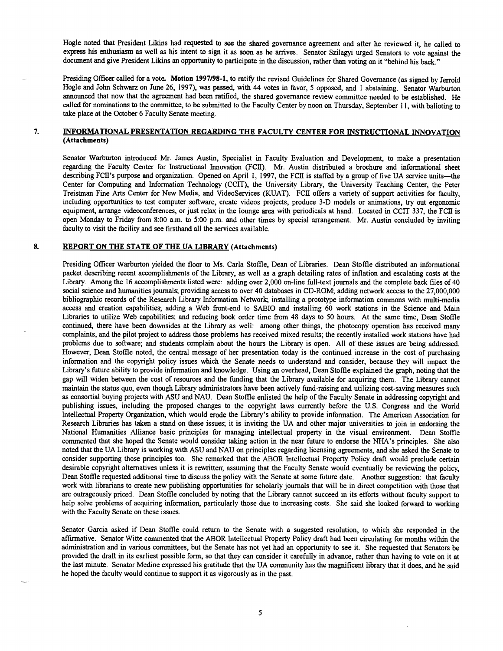Hogle noted that President Likins had requested to see the shared governance agreement and after he reviewed it, he called to express his enthusiasm as well as his intent to sign it as soon as he arrives. Senator Szilagyi urged Senators to vote against the document and give President Likins an opportunity to participate in the discussion, rather than voting on it "behind his back."

Presiding Officer called for a vote. Motion 1997/98-1, to ratify the revised Guidelines for Shared Governance (as signed by Jerrold Hogle and John Schwarz on June 26, 1997), was passed, with 44 votes in favor, 5 opposed, and i abstaining. Senator Warburton announced that now that the agreement had been ratified, the shared governance review committee needed to be established. He called for nominations to the committee, to be submitted to the Faculty Center by noon on Thursday, September 11, with balloting to take place at the October 6 Faculty Senate meeting.

#### INFORMATIONAL PRESENTATION REGARDING THE FACULTY CENTER FOR INSTRUCTIONAL INNOVATION 7. (Attachments)

Senator Warburton introduced Mr. James Austin, Specialist in Faculty Evaluation and Development, to make a presentation regarding the Faculty Center for Instructional Innovation (FCII). Mr. Austin distributed a brochure and informational sheet describing FCII's purpose and organization. Opened on April 1, 1997, the FCII is staffed by a group of five UA service units—the Center for Computing and Information Technology (CCIT), the University Library, the University Teaching Center, the Peter Treistman Fine Arts Center for New Media, and VideoServices (KUAT). FCII offers a variety of support activities for faculty, including opportunities to test computer software, create videos projects, produce 3-D models or animations, try out ergonomic equipment, arrange videoconferences, or just relax in the lounge area with periodicals at hand. Located in CC1T 337, the FCII is open Monday to Friday from 8:00 a.m. to 5:00 p.m. and other times by special arrangement. Mr. Austin concluded by inviting faculty to visit the facility and see firsthand all the services available.

#### 8. REPORT ON THE STATE OF THE UA LIBRARY (Attachments)

Presiding Officer Warburton yielded the floor to Ms. Carla Stoffle, Dean of Libraries. Dean Stofile distributed an informational packet describing recent accomplishments of the Library, as well as a graph detailing rates of inflation and escalating costs at the Library. Among the 16 accomplishments listed were: adding over 2,000 on-line full-text journals and the complete back files of 40 social science and humanities journals; providing access to over 40 databases in CD-ROM; adding network access to the 27,000,000 bibliographic records of the Research Library Information Network; installing a prototype information commons with multi-media access and creation capabilities; adding a Web front-end to SABIO and installing 60 work stations in the Science and Main Libraries to utilize Web capabilities; and reducing book order time from 48 days to 50 hours. At the same time, Dean Stoffle continued, there have been downsides at the Library as well: among other things, the photocopy operation has received many complaints, and the pilot project to address those problems has received mixed results; the recently installed work stations have had problems due to software; and students complain about the hours the Library is open. All of these issues are being addressed. However, Dean Stoffle noted, the central message of her presentation today is the continued increase in the cost of purchasing information and the copyright policy issues which the Senate needs to understand and consider, because they will impact the Library's future ability to provide information and knowledge. Using an overhead, Dean Stoffle explained the graph, noting that the gap will widen between the cost of resources and the funding that the Library available for acquiring them. The Library cannot maintain the status quo, even though Library administrators have been actively fund-raising and utilizing cost-saving measures such as consortial buying projects with ASU and NAU. Dean Stoffle enlisted the help of the Faculty Senate in addressing copyright and publishing issues, including the proposed changes to the copyright laws currently before the U.S. Congress and the World Intellectual Property Organization, which would erode the Library's ability to provide information. The American Association for Research Libraries has taken a stand on these issues; it is inviting the UA and other major universities to join in endorsing the National Humanities Alliance basic principles for managing intellectual property in the visual environment. Dean Stoffle commented that she hoped the Senate would consider taking action in the near future to endorse the NHA's principles. She also noted that the UA Library is working with ASU and NAU on principles regarding licensing agreements, and she asked the Senate to consider supporting those principles too. She remarked that the ABUR Intellectual Property Policy draft would preclude certain desirable copyright alternatives unless it is rewritten; assuming that the Faculty Senate would eventually be reviewing the policy, Dean Stoffle requested additional time to discuss the policy with the Senate at some future date. Another suggestion: that faculty work with librarians to create new publishing opportunities for scholarly journals that will be in direct competition with those that are outrageously priced. Dean Stoffle concluded by noting that the Library cannot succeed in its efforts without faculty support to help solve problems of acquiring information, particularly those due to increasing costs. She said she looked forward to working with the Faculty Senate on these issues.

Senator Garcia asked if Dean Stoffle could return to the Senate with a suggested resolution, to which she responded in the affirmative. Senator Witte commented that the ABUR Intellectual Property Policy draft had been circulating for months within the administration and in various committees, but the Senate has not yet had an opportunity to see it. She requested that Senators be provided the draft in its earliest possible form, so that they can consider it carefully in advance, rather than having to vote on it at the last minute. Senator Medine expressed his gratitude that the UA community has the magnificent library that it does, and he said he hoped the faculty would continue to support it as vigorously as in the past.

5